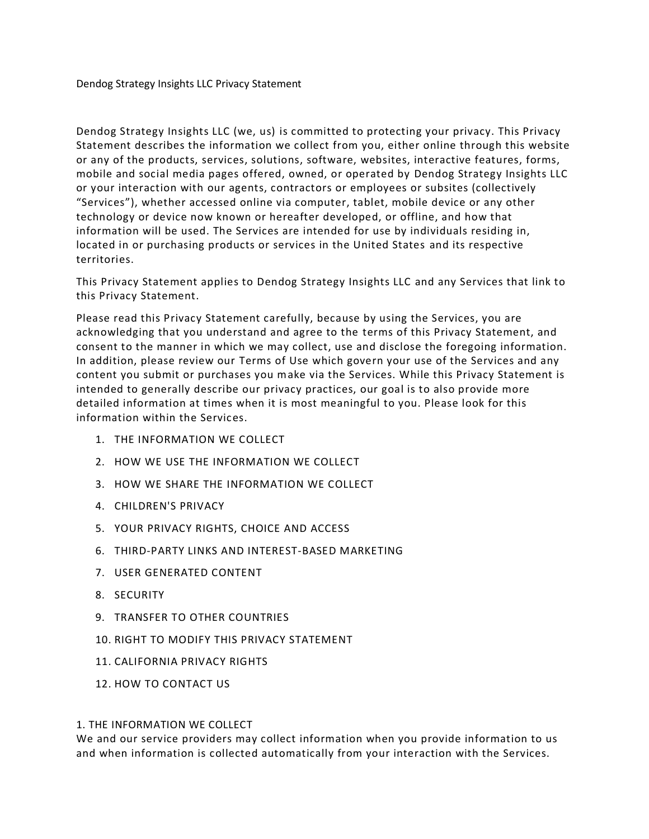Dendog Strategy Insights LLC (we, us) is committed to protecting your privacy. This Privacy Statement describes the information we collect from you, either online through this website or any of the products, services, solutions, software, websites, interactive features, forms, mobile and social media pages offered, owned, or operated by Dendog Strategy Insights LLC or your interaction with our agents, contractors or employees or subsites (collectively "Services"), whether accessed online via computer, tablet, mobile device or any other technology or device now known or hereafter developed, or offline, and how that information will be used. The Services are intended for use by individuals residing in, located in or purchasing products or services in the United States and its respective territories.

This Privacy Statement applies to Dendog Strategy Insights LLC and any Services that link to this Privacy Statement.

Please read this Privacy Statement carefully, because by using the Services, you are acknowledging that you understand and agree to the terms of this Privacy Statement, and consent to the manner in which we may collect, use and disclose the foregoing information. In addition, please review our Terms of Use which govern your use of the Services and any content you submit or purchases you make via the Services. While this Privacy Statement is intended to generally describe our privacy practices, our goal is to also provide more detailed information at times when it is most meaningful to you. Please look for this information within the Services.

- 1. THE INFORMATION WE COLLECT
- 2. HOW WE USE THE INFORMATION WE COLLECT
- 3. HOW WE SHARE THE INFORMATION WE COLLECT
- 4. CHILDREN'S PRIVACY
- 5. YOUR PRIVACY RIGHTS, CHOICE AND ACCESS
- 6. THIRD-PARTY LINKS AND INTEREST-BASED MARKETING
- 7. USER GENERATED CONTENT
- 8. SECURITY
- 9. TRANSFER TO OTHER COUNTRIES
- 10. RIGHT TO MODIFY THIS PRIVACY STATEMENT
- 11. CALIFORNIA PRIVACY RIGHTS
- 12. HOW TO CONTACT US

### 1. THE INFORMATION WE COLLECT

We and our service providers may collect information when you provide information to us and when information is collected automatically from your interaction with the Services.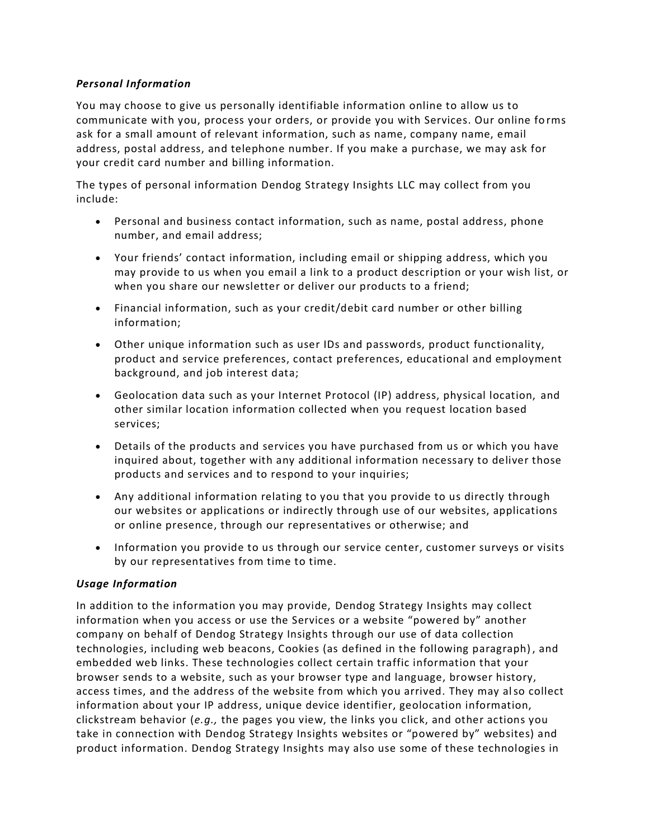# *Personal Information*

You may choose to give us personally identifiable information online to allow us to communicate with you, process your orders, or provide you with Services. Our online fo rms ask for a small amount of relevant information, such as name, company name, email address, postal address, and telephone number. If you make a purchase, we may ask for your credit card number and billing information.

The types of personal information Dendog Strategy Insights LLC may collect from you include:

- Personal and business contact information, such as name, postal address, phone number, and email address;
- Your friends' contact information, including email or shipping address, which you may provide to us when you email a link to a product description or your wish list, or when you share our newsletter or deliver our products to a friend;
- Financial information, such as your credit/debit card number or other billing information;
- Other unique information such as user IDs and passwords, product functionality, product and service preferences, contact preferences, educational and employment background, and job interest data;
- Geolocation data such as your Internet Protocol (IP) address, physical location, and other similar location information collected when you request location based services;
- Details of the products and services you have purchased from us or which you have inquired about, together with any additional information necessary to deliver those products and services and to respond to your inquiries;
- Any additional information relating to you that you provide to us directly through our websites or applications or indirectly through use of our websites, applications or online presence, through our representatives or otherwise; and
- Information you provide to us through our service center, customer surveys or visits by our representatives from time to time.

# *Usage Information*

In addition to the information you may provide, Dendog Strategy Insights may collect information when you access or use the Services or a website "powered by" another company on behalf of Dendog Strategy Insights through our use of data collection technologies, including web beacons, Cookies (as defined in the following paragraph) , and embedded web links. These technologies collect certain traffic information that your browser sends to a website, such as your browser type and language, browser history, access times, and the address of the website from which you arrived. They may also collect information about your IP address, unique device identifier, geolocation information, clickstream behavior (*e.g.,* the pages you view, the links you click, and other actions you take in connection with Dendog Strategy Insights websites or "powered by" websites) and product information. Dendog Strategy Insights may also use some of these technologies in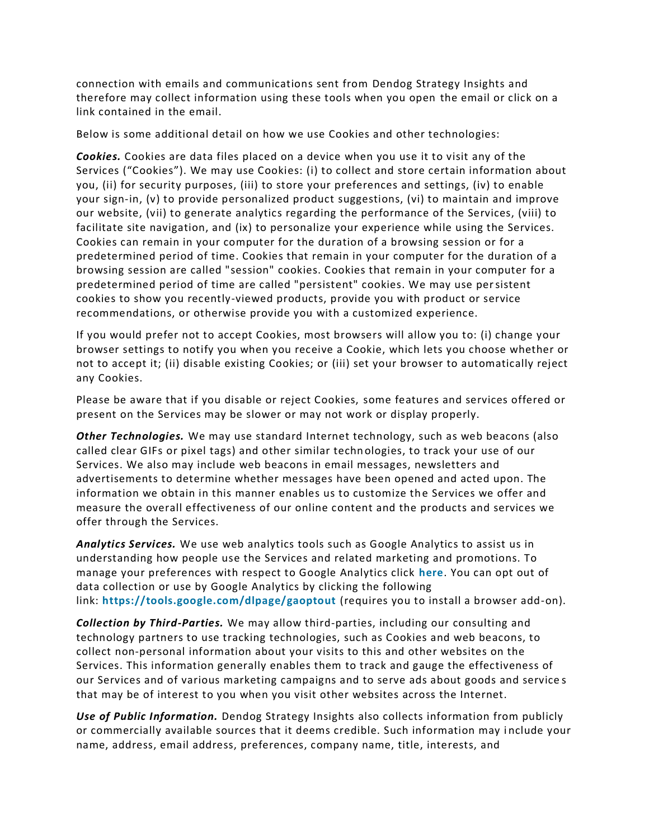connection with emails and communications sent from Dendog Strategy Insights and therefore may collect information using these tools when you open the email or click on a link contained in the email.

Below is some additional detail on how we use Cookies and other technologies:

*Cookies.* Cookies are data files placed on a device when you use it to visit any of the Services ("Cookies"). We may use Cookies: (i) to collect and store certain information about you, (ii) for security purposes, (iii) to store your preferences and settings, (iv) to enable your sign-in, (v) to provide personalized product suggestions, (vi) to maintain and improve our website, (vii) to generate analytics regarding the performance of the Services, (viii) to facilitate site navigation, and (ix) to personalize your experience while using the Services. Cookies can remain in your computer for the duration of a browsing session or for a predetermined period of time. Cookies that remain in your computer for the duration of a browsing session are called "session" cookies. Cookies that remain in your computer for a predetermined period of time are called "persistent" cookies. We may use persistent cookies to show you recently-viewed products, provide you with product or service recommendations, or otherwise provide you with a customized experience.

If you would prefer not to accept Cookies, most browsers will allow you to: (i) change your browser settings to notify you when you receive a Cookie, which lets you choose whether or not to accept it; (ii) disable existing Cookies; or (iii) set your browser to automatically reject any Cookies.

Please be aware that if you disable or reject Cookies, some features and services offered or present on the Services may be slower or may not work or display properly.

*Other Technologies.* We may use standard Internet technology, such as web beacons (also called clear GIFs or pixel tags) and other similar techn ologies, to track your use of our Services. We also may include web beacons in email messages, newsletters and advertisements to determine whether messages have been opened and acted upon. The information we obtain in this manner enables us to customize the Services we offer and measure the overall effectiveness of our online content and the products and services we offer through the Services.

*Analytics Services.* We use web analytics tools such as Google Analytics to assist us in understanding how people use the Services and related marketing and promotions. To manage your preferences with respect to Google Analytics click **[here](https://policies.google.com/technologies/partner-sites)**. You can opt out of data collection or use by Google Analytics by clicking the following link: **<https://tools.google.com/dlpage/gaoptout>** (requires you to install a browser add-on).

*Collection by Third-Parties.* We may allow third-parties, including our consulting and technology partners to use tracking technologies, such as Cookies and web beacons, to collect non-personal information about your visits to this and other websites on the Services. This information generally enables them to track and gauge the effectiveness of our Services and of various marketing campaigns and to serve ads about goods and service s that may be of interest to you when you visit other websites across the Internet.

*Use of Public Information.* Dendog Strategy Insights also collects information from publicly or commercially available sources that it deems credible. Such information may i nclude your name, address, email address, preferences, company name, title, interests, and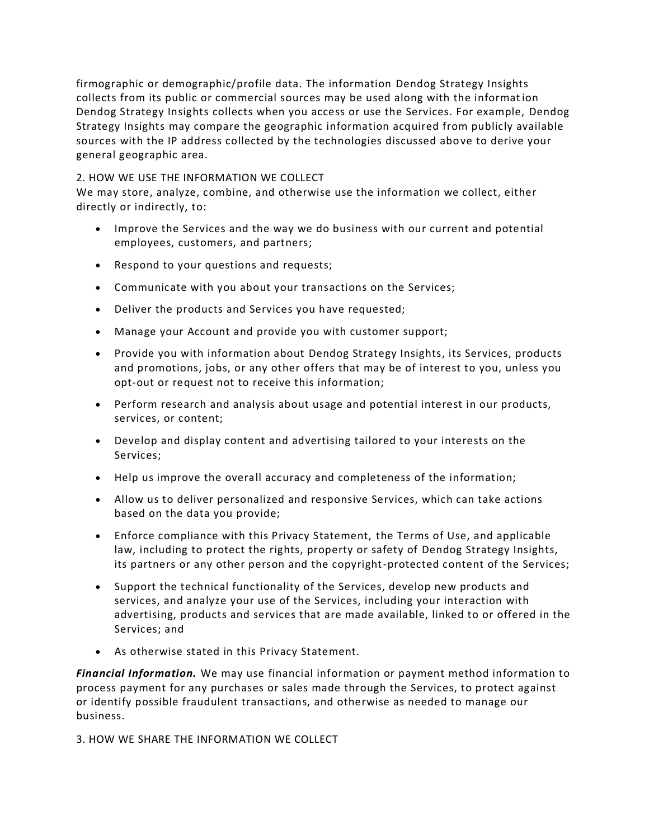firmographic or demographic/profile data. The information Dendog Strategy Insights collects from its public or commercial sources may be used along with the informat ion Dendog Strategy Insights collects when you access or use the Services. For example, Dendog Strategy Insights may compare the geographic information acquired from publicly available sources with the IP address collected by the technologies discussed above to derive your general geographic area.

## 2. HOW WE USE THE INFORMATION WE COLLECT

We may store, analyze, combine, and otherwise use the information we collect, either directly or indirectly, to:

- Improve the Services and the way we do business with our current and potential employees, customers, and partners;
- Respond to your questions and requests;
- Communicate with you about your transactions on the Services;
- Deliver the products and Services you have requested;
- Manage your Account and provide you with customer support;
- Provide you with information about Dendog Strategy Insights, its Services, products and promotions, jobs, or any other offers that may be of interest to you, unless you opt-out or request not to receive this information;
- Perform research and analysis about usage and potential interest in our products, services, or content;
- Develop and display content and advertising tailored to your interests on the Services;
- Help us improve the overall accuracy and completeness of the information;
- Allow us to deliver personalized and responsive Services, which can take actions based on the data you provide;
- Enforce compliance with this Privacy Statement, the Terms of Use, and applicable law, including to protect the rights, property or safety of Dendog Strategy Insights, its partners or any other person and the copyright-protected content of the Services;
- Support the technical functionality of the Services, develop new products and services, and analyze your use of the Services, including your interaction with advertising, products and services that are made available, linked to or offered in the Services; and
- As otherwise stated in this Privacy Statement.

*Financial Information.* We may use financial information or payment method information to process payment for any purchases or sales made through the Services, to protect against or identify possible fraudulent transactions, and otherwise as needed to manage our business.

3. HOW WE SHARE THE INFORMATION WE COLLECT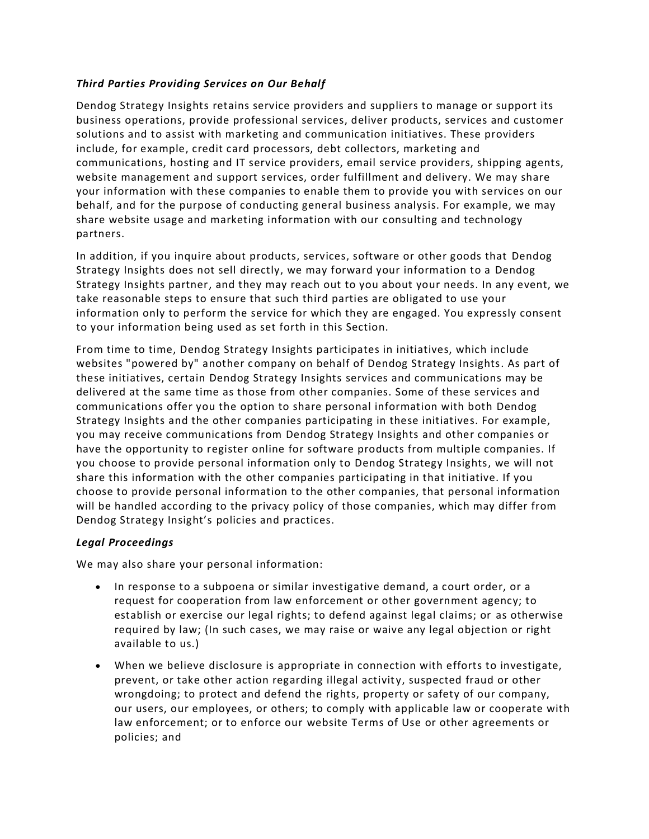## *Third Parties Providing Services on Our Behalf*

Dendog Strategy Insights retains service providers and suppliers to manage or support its business operations, provide professional services, deliver products, services and customer solutions and to assist with marketing and communication initiatives. These providers include, for example, credit card processors, debt collectors, marketing and communications, hosting and IT service providers, email service providers, shipping agents, website management and support services, order fulfillment and delivery. We may share your information with these companies to enable them to provide you with services on our behalf, and for the purpose of conducting general business analysis. For example, we may share website usage and marketing information with our consulting and technology partners.

In addition, if you inquire about products, services, software or other goods that Dendog Strategy Insights does not sell directly, we may forward your information to a Dendog Strategy Insights partner, and they may reach out to you about your needs. In any event, we take reasonable steps to ensure that such third parties are obligated to use your information only to perform the service for which they are engaged. You expressly consent to your information being used as set forth in this Section.

From time to time, Dendog Strategy Insights participates in initiatives, which include websites "powered by" another company on behalf of Dendog Strategy Insights. As part of these initiatives, certain Dendog Strategy Insights services and communications may be delivered at the same time as those from other companies. Some of these services and communications offer you the option to share personal information with both Dendog Strategy Insights and the other companies participating in these initiatives. For example, you may receive communications from Dendog Strategy Insights and other companies or have the opportunity to register online for software products from multiple companies. If you choose to provide personal information only to Dendog Strategy Insights, we will not share this information with the other companies participating in that initiative. If you choose to provide personal information to the other companies, that personal information will be handled according to the privacy policy of those companies, which may differ from Dendog Strategy Insight's policies and practices.

# *Legal Proceedings*

We may also share your personal information:

- In response to a subpoena or similar investigative demand, a court order, or a request for cooperation from law enforcement or other government agency; to establish or exercise our legal rights; to defend against legal claims; or as otherwise required by law; (In such cases, we may raise or waive any legal objection or right available to us.)
- When we believe disclosure is appropriate in connection with efforts to investigate, prevent, or take other action regarding illegal activity, suspected fraud or other wrongdoing; to protect and defend the rights, property or safety of our company, our users, our employees, or others; to comply with applicable law or cooperate with law enforcement; or to enforce our website Terms of Use or other agreements or policies; and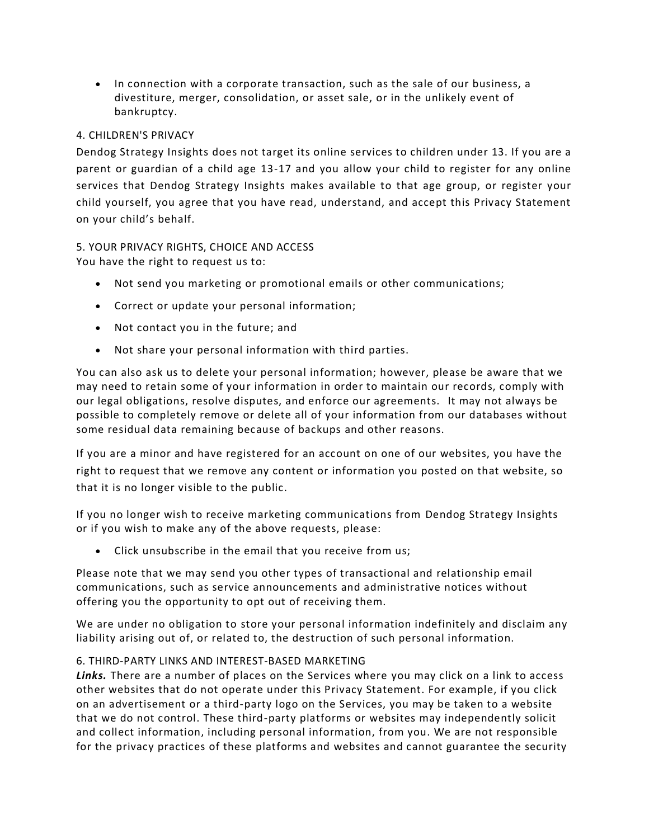• In connection with a corporate transaction, such as the sale of our business, a divestiture, merger, consolidation, or asset sale, or in the unlikely event of bankruptcy.

## 4. CHILDREN'S PRIVACY

Dendog Strategy Insights does not target its online services to children under 13. If you are a parent or guardian of a child age 13-17 and you allow your child to register for any online services that Dendog Strategy Insights makes available to that age group, or register your child yourself, you agree that you have read, understand, and accept this Privacy Statement on your child's behalf.

5. YOUR PRIVACY RIGHTS, CHOICE AND ACCESS You have the right to request us to:

- Not send you marketing or promotional emails or other communications;
- Correct or update your personal information;
- Not contact you in the future; and
- Not share your personal information with third parties.

You can also ask us to delete your personal information; however, please be aware that we may need to retain some of your information in order to maintain our records, comply with our legal obligations, resolve disputes, and enforce our agreements. It may not always be possible to completely remove or delete all of your information from our databases without some residual data remaining because of backups and other reasons.

If you are a minor and have registered for an account on one of our websites, you have the right to request that we remove any content or information you posted on that website, so that it is no longer visible to the public.

If you no longer wish to receive marketing communications from Dendog Strategy Insights or if you wish to make any of the above requests, please:

• Click unsubscribe in the email that you receive from us;

Please note that we may send you other types of transactional and relationship email communications, such as service announcements and administrative notices without offering you the opportunity to opt out of receiving them.

We are under no obligation to store your personal information indefinitely and disclaim any liability arising out of, or related to, the destruction of such personal information.

### 6. THIRD-PARTY LINKS AND INTEREST-BASED MARKETING

*Links.* There are a number of places on the Services where you may click on a link to access other websites that do not operate under this Privacy Statement. For example, if you click on an advertisement or a third-party logo on the Services, you may be taken to a website that we do not control. These third-party platforms or websites may independently solicit and collect information, including personal information, from you. We are not responsible for the privacy practices of these platforms and websites and cannot guarantee the security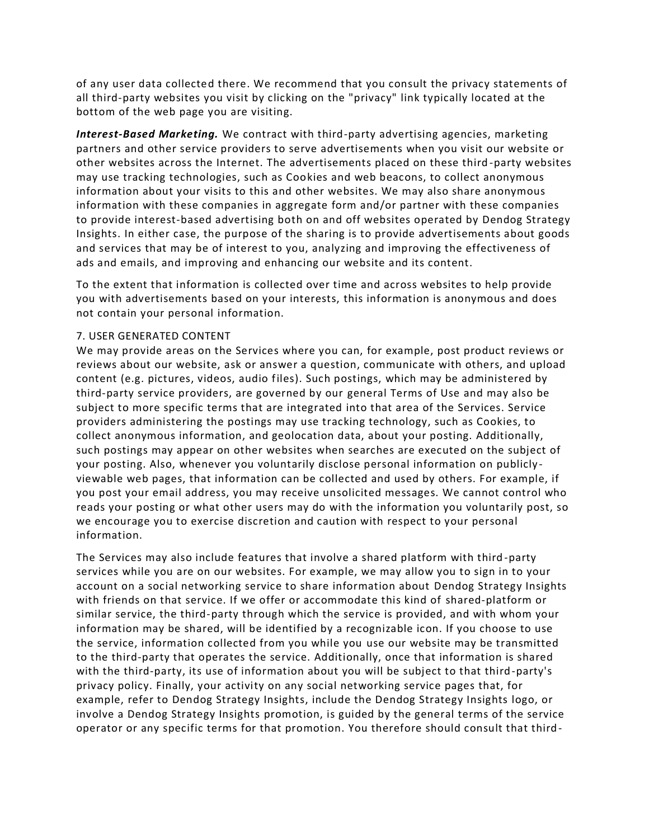of any user data collected there. We recommend that you consult the privacy statements of all third-party websites you visit by clicking on the "privacy" link typically located at the bottom of the web page you are visiting.

*Interest-Based Marketing.* We contract with third-party advertising agencies, marketing partners and other service providers to serve advertisements when you visit our website or other websites across the Internet. The advertisements placed on these third -party websites may use tracking technologies, such as Cookies and web beacons, to collect anonymous information about your visits to this and other websites. We may also share anonymous information with these companies in aggregate form and/or partner with these companies to provide interest-based advertising both on and off websites operated by Dendog Strategy Insights. In either case, the purpose of the sharing is to provide advertisements about goods and services that may be of interest to you, analyzing and improving the effectiveness of ads and emails, and improving and enhancing our website and its content.

To the extent that information is collected over time and across websites to help provide you with advertisements based on your interests, this information is anonymous and does not contain your personal information.

#### 7. USER GENERATED CONTENT

We may provide areas on the Services where you can, for example, post product reviews or reviews about our website, ask or answer a question, communicate with others, and upload content (e.g. pictures, videos, audio files). Such postings, which may be administered by third-party service providers, are governed by our general Terms of Use and may also be subject to more specific terms that are integrated into that area of the Services. Service providers administering the postings may use tracking technology, such as Cookies, to collect anonymous information, and geolocation data, about your posting. Additionally, such postings may appear on other websites when searches are executed on the subject of your posting. Also, whenever you voluntarily disclose personal information on publicly viewable web pages, that information can be collected and used by others. For example, if you post your email address, you may receive unsolicited messages. We cannot control who reads your posting or what other users may do with the information you voluntarily post, so we encourage you to exercise discretion and caution with respect to your personal information.

The Services may also include features that involve a shared platform with third -party services while you are on our websites. For example, we may allow you to sign in to your account on a social networking service to share information about Dendog Strategy Insights with friends on that service. If we offer or accommodate this kind of shared-platform or similar service, the third-party through which the service is provided, and with whom your information may be shared, will be identified by a recognizable icon. If you choose to use the service, information collected from you while you use our website may be transmitted to the third-party that operates the service. Additionally, once that information is shared with the third-party, its use of information about you will be subject to that third-party's privacy policy. Finally, your activity on any social networking service pages that, for example, refer to Dendog Strategy Insights, include the Dendog Strategy Insights logo, or involve a Dendog Strategy Insights promotion, is guided by the general terms of the service operator or any specific terms for that promotion. You therefore should consult that third-